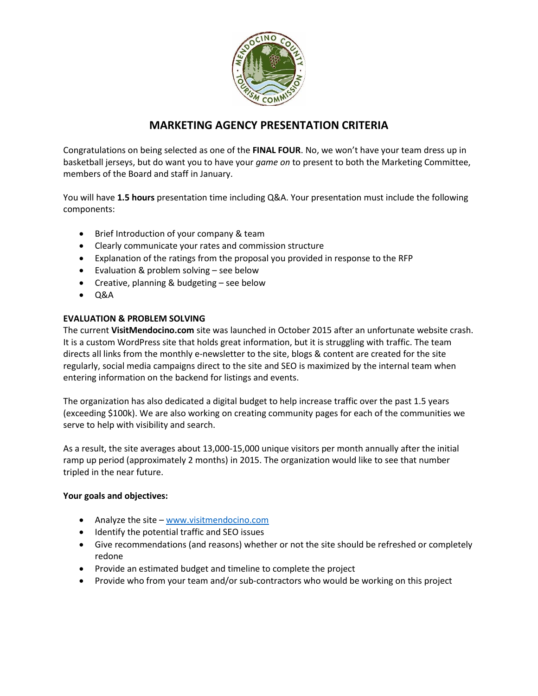

# **MARKETING AGENCY PRESENTATION CRITERIA**

Congratulations on being selected as one of the **FINAL FOUR**. No, we won't have your team dress up in basketball jerseys, but do want you to have your *game on* to present to both the Marketing Committee, members of the Board and staff in January.

You will have **1.5 hours** presentation time including Q&A. Your presentation must include the following components:

- Brief Introduction of your company & team
- Clearly communicate your rates and commission structure
- Explanation of the ratings from the proposal you provided in response to the RFP
- Evaluation & problem solving see below
- Creative, planning & budgeting see below
- $\bullet$  Q&A

# **EVALUATION & PROBLEM SOLVING**

The current **VisitMendocino.com** site was launched in October 2015 after an unfortunate website crash. It is a custom WordPress site that holds great information, but it is struggling with traffic. The team directs all links from the monthly e-newsletter to the site, blogs & content are created for the site regularly, social media campaigns direct to the site and SEO is maximized by the internal team when entering information on the backend for listings and events.

The organization has also dedicated a digital budget to help increase traffic over the past 1.5 years (exceeding \$100k). We are also working on creating community pages for each of the communities we serve to help with visibility and search.

As a result, the site averages about 13,000-15,000 unique visitors per month annually after the initial ramp up period (approximately 2 months) in 2015. The organization would like to see that number tripled in the near future.

### **Your goals and objectives:**

- Analyze the site [www.visitmendocino.com](http://www.visitmendocino.com/)
- Identify the potential traffic and SEO issues
- Give recommendations (and reasons) whether or not the site should be refreshed or completely redone
- Provide an estimated budget and timeline to complete the project
- Provide who from your team and/or sub-contractors who would be working on this project